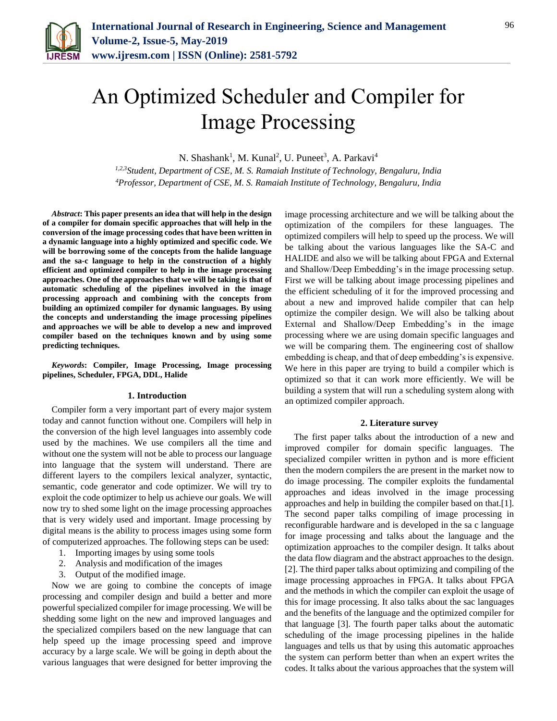

# An Optimized Scheduler and Compiler for Image Processing

N. Shashank<sup>1</sup>, M. Kunal<sup>2</sup>, U. Puneet<sup>3</sup>, A. Parkavi<sup>4</sup>

*1,2,3Student, Department of CSE, M. S. Ramaiah Institute of Technology, Bengaluru, India 4Professor, Department of CSE, M. S. Ramaiah Institute of Technology, Bengaluru, India*

*Abstract***: This paper presents an idea that will help in the design of a compiler for domain specific approaches that will help in the conversion of the image processing codes that have been written in a dynamic language into a highly optimized and specific code. We will be borrowing some of the concepts from the halide language and the sa-c language to help in the construction of a highly efficient and optimized compiler to help in the image processing approaches. One of the approaches that we will be taking is that of automatic scheduling of the pipelines involved in the image processing approach and combining with the concepts from building an optimized compiler for dynamic languages. By using the concepts and understanding the image processing pipelines and approaches we will be able to develop a new and improved compiler based on the techniques known and by using some predicting techniques.**

*Keywords***: Compiler, Image Processing, Image processing pipelines, Scheduler, FPGA, DDL, Halide** 

## **1. Introduction**

Compiler form a very important part of every major system today and cannot function without one. Compilers will help in the conversion of the high level languages into assembly code used by the machines. We use compilers all the time and without one the system will not be able to process our language into language that the system will understand. There are different layers to the compilers lexical analyzer, syntactic, semantic, code generator and code optimizer. We will try to exploit the code optimizer to help us achieve our goals. We will now try to shed some light on the image processing approaches that is very widely used and important. Image processing by digital means is the ability to process images using some form of computerized approaches. The following steps can be used:

- 1. Importing images by using some tools
- 2. Analysis and modification of the images
- 3. Output of the modified image.

Now we are going to combine the concepts of image processing and compiler design and build a better and more powerful specialized compiler for image processing. We will be shedding some light on the new and improved languages and the specialized compilers based on the new language that can help speed up the image processing speed and improve accuracy by a large scale. We will be going in depth about the various languages that were designed for better improving the image processing architecture and we will be talking about the optimization of the compilers for these languages. The optimized compilers will help to speed up the process. We will be talking about the various languages like the SA-C and HALIDE and also we will be talking about FPGA and External and Shallow/Deep Embedding's in the image processing setup. First we will be talking about image processing pipelines and the efficient scheduling of it for the improved processing and about a new and improved halide compiler that can help optimize the compiler design. We will also be talking about External and Shallow/Deep Embedding's in the image processing where we are using domain specific languages and we will be comparing them. The engineering cost of shallow embedding is cheap, and that of deep embedding's is expensive. We here in this paper are trying to build a compiler which is optimized so that it can work more efficiently. We will be building a system that will run a scheduling system along with an optimized compiler approach.

#### **2. Literature survey**

The first paper talks about the introduction of a new and improved compiler for domain specific languages. The specialized compiler written in python and is more efficient then the modern compilers the are present in the market now to do image processing. The compiler exploits the fundamental approaches and ideas involved in the image processing approaches and help in building the compiler based on that.[1]. The second paper talks compiling of image processing in reconfigurable hardware and is developed in the sa c language for image processing and talks about the language and the optimization approaches to the compiler design. It talks about the data flow diagram and the abstract approaches to the design. [2]. The third paper talks about optimizing and compiling of the image processing approaches in FPGA. It talks about FPGA and the methods in which the compiler can exploit the usage of this for image processing. It also talks about the sac languages and the benefits of the language and the optimized compiler for that language [3]. The fourth paper talks about the automatic scheduling of the image processing pipelines in the halide languages and tells us that by using this automatic approaches the system can perform better than when an expert writes the codes. It talks about the various approaches that the system will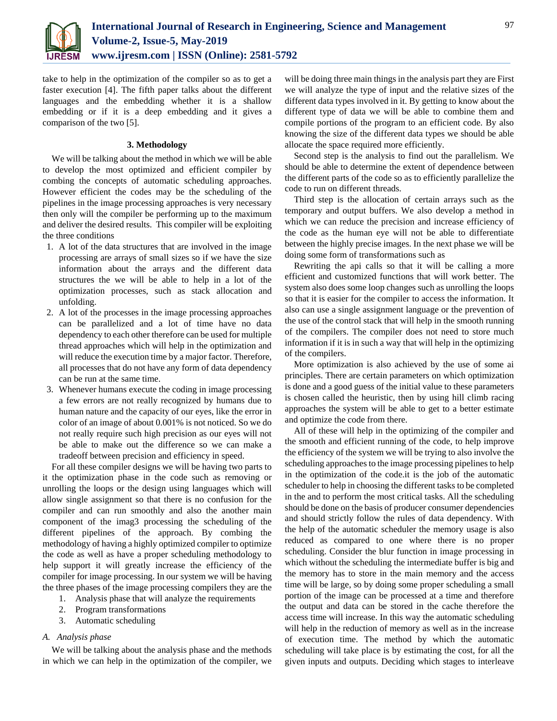

take to help in the optimization of the compiler so as to get a faster execution [4]. The fifth paper talks about the different languages and the embedding whether it is a shallow embedding or if it is a deep embedding and it gives a comparison of the two [5].

## **3. Methodology**

We will be talking about the method in which we will be able to develop the most optimized and efficient compiler by combing the concepts of automatic scheduling approaches. However efficient the codes may be the scheduling of the pipelines in the image processing approaches is very necessary then only will the compiler be performing up to the maximum and deliver the desired results. This compiler will be exploiting the three conditions

- 1. A lot of the data structures that are involved in the image processing are arrays of small sizes so if we have the size information about the arrays and the different data structures the we will be able to help in a lot of the optimization processes, such as stack allocation and unfolding.
- 2. A lot of the processes in the image processing approaches can be parallelized and a lot of time have no data dependency to each other therefore can be used for multiple thread approaches which will help in the optimization and will reduce the execution time by a major factor. Therefore, all processes that do not have any form of data dependency can be run at the same time.
- 3. Whenever humans execute the coding in image processing a few errors are not really recognized by humans due to human nature and the capacity of our eyes, like the error in color of an image of about 0.001% is not noticed. So we do not really require such high precision as our eyes will not be able to make out the difference so we can make a tradeoff between precision and efficiency in speed.

For all these compiler designs we will be having two parts to it the optimization phase in the code such as removing or unrolling the loops or the design using languages which will allow single assignment so that there is no confusion for the compiler and can run smoothly and also the another main component of the imag3 processing the scheduling of the different pipelines of the approach. By combing the methodology of having a highly optimized compiler to optimize the code as well as have a proper scheduling methodology to help support it will greatly increase the efficiency of the compiler for image processing. In our system we will be having the three phases of the image processing compilers they are the

- 1. Analysis phase that will analyze the requirements
- 2. Program transformations
- 3. Automatic scheduling

# *A. Analysis phase*

We will be talking about the analysis phase and the methods in which we can help in the optimization of the compiler, we will be doing three main things in the analysis part they are First we will analyze the type of input and the relative sizes of the different data types involved in it. By getting to know about the different type of data we will be able to combine them and compile portions of the program to an efficient code. By also knowing the size of the different data types we should be able allocate the space required more efficiently.

Second step is the analysis to find out the parallelism. We should be able to determine the extent of dependence between the different parts of the code so as to efficiently parallelize the code to run on different threads.

Third step is the allocation of certain arrays such as the temporary and output buffers. We also develop a method in which we can reduce the precision and increase efficiency of the code as the human eye will not be able to differentiate between the highly precise images. In the next phase we will be doing some form of transformations such as

Rewriting the api calls so that it will be calling a more efficient and customized functions that will work better. The system also does some loop changes such as unrolling the loops so that it is easier for the compiler to access the information. It also can use a single assignment language or the prevention of the use of the control stack that will help in the smooth running of the compilers. The compiler does not need to store much information if it is in such a way that will help in the optimizing of the compilers.

More optimization is also achieved by the use of some ai principles. There are certain parameters on which optimization is done and a good guess of the initial value to these parameters is chosen called the heuristic, then by using hill climb racing approaches the system will be able to get to a better estimate and optimize the code from there.

All of these will help in the optimizing of the compiler and the smooth and efficient running of the code, to help improve the efficiency of the system we will be trying to also involve the scheduling approaches to the image processing pipelines to help in the optimization of the code.it is the job of the automatic scheduler to help in choosing the different tasks to be completed in the and to perform the most critical tasks. All the scheduling should be done on the basis of producer consumer dependencies and should strictly follow the rules of data dependency. With the help of the automatic scheduler the memory usage is also reduced as compared to one where there is no proper scheduling. Consider the blur function in image processing in which without the scheduling the intermediate buffer is big and the memory has to store in the main memory and the access time will be large, so by doing some proper scheduling a small portion of the image can be processed at a time and therefore the output and data can be stored in the cache therefore the access time will increase. In this way the automatic scheduling will help in the reduction of memory as well as in the increase of execution time. The method by which the automatic scheduling will take place is by estimating the cost, for all the given inputs and outputs. Deciding which stages to interleave